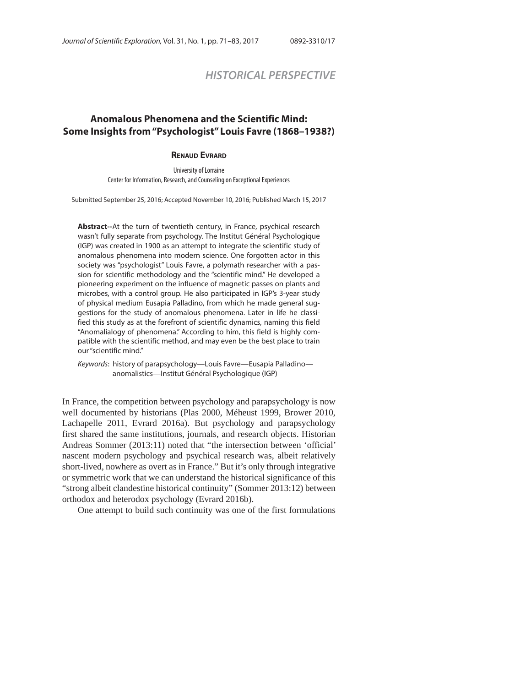# *HISTORICAL PERSPECTIVE*

## **Anomalous Phenomena and the Scientific Mind: Some Insights from "Psychologist" Louis Favre (1868–1938?)**

#### **RENAUD EVRARD**

University of Lorraine Center for Information, Research, and Counseling on Exceptional Experiences

Submitted September 25, 2016; Accepted November 10, 2016; Published March 15, 2017

**Abstract--**At the turn of twentieth century, in France, psychical research wasn't fully separate from psychology. The Institut Général Psychologique (IGP) was created in 1900 as an attempt to integrate the scientific study of anomalous phenomena into modern science. One forgotten actor in this society was "psychologist" Louis Favre, a polymath researcher with a passion for scientific methodology and the "scientific mind." He developed a pioneering experiment on the influence of magnetic passes on plants and microbes, with a control group. He also participated in IGP's 3-year study of physical medium Eusapia Palladino, from which he made general suggestions for the study of anomalous phenomena. Later in life he classified this study as at the forefront of scientific dynamics, naming this field "Anomalialogy of phenomena." According to him, this field is highly compatible with the scientific method, and may even be the best place to train our "scientific mind."

Keywords: history of parapsychology—Louis Favre—Eusapia Palladino anomalistics—Institut Général Psychologique (IGP)

In France, the competition between psychology and parapsychology is now well documented by historians (Plas 2000, Méheust 1999, Brower 2010, Lachapelle 2011, Evrard 2016a). But psychology and parapsychology first shared the same institutions, journals, and research objects. Historian Andreas Sommer (2013:11) noted that "the intersection between 'official' nascent modern psychology and psychical research was, albeit relatively short-lived, nowhere as overt as in France." But it's only through integrative or symmetric work that we can understand the historical significance of this "strong albeit clandestine historical continuity" (Sommer 2013:12) between orthodox and heterodox psychology (Evrard 2016b).

One attempt to build such continuity was one of the first formulations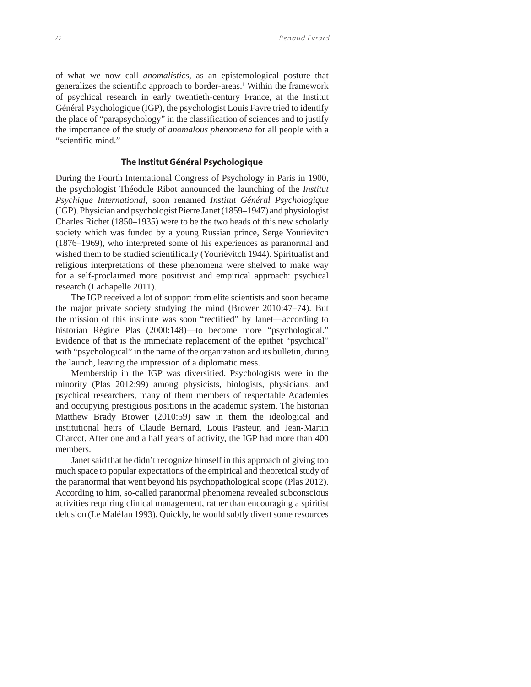of what we now call *anomalistics*, as an epistemological posture that generalizes the scientific approach to border-areas.<sup>1</sup> Within the framework of psychical research in early twentieth-century France, at the Institut Général Psychologique (IGP), the psychologist Louis Favre tried to identify the place of "parapsychology" in the classification of sciences and to justify the importance of the study of *anomalous phenomena* for all people with a "scientific mind."

## **The Institut Général Psychologique**

During the Fourth International Congress of Psychology in Paris in 1900, the psychologist Théodule Ribot announced the launching of the *Institut Psychique International*, soon renamed *Institut Général Psychologique*  (IGP). Physician and psychologist Pierre Janet (1859–1947) and physiologist Charles Richet (1850–1935) were to be the two heads of this new scholarly society which was funded by a young Russian prince, Serge Youriévitch (1876–1969), who interpreted some of his experiences as paranormal and wished them to be studied scientifically (Youriévitch 1944). Spiritualist and religious interpretations of these phenomena were shelved to make way for a self-proclaimed more positivist and empirical approach: psychical research (Lachapelle 2011).

The IGP received a lot of support from elite scientists and soon became the major private society studying the mind (Brower 2010:47–74). But the mission of this institute was soon "rectified" by Janet—according to historian Régine Plas (2000:148)—to become more "psychological." Evidence of that is the immediate replacement of the epithet "psychical" with "psychological" in the name of the organization and its bulletin, during the launch, leaving the impression of a diplomatic mess.

Membership in the IGP was diversified. Psychologists were in the minority (Plas 2012:99) among physicists, biologists, physicians, and psychical researchers, many of them members of respectable Academies and occupying prestigious positions in the academic system. The historian Matthew Brady Brower (2010:59) saw in them the ideological and institutional heirs of Claude Bernard, Louis Pasteur, and Jean-Martin Charcot. After one and a half years of activity, the IGP had more than 400 members.

Janet said that he didn't recognize himself in this approach of giving too much space to popular expectations of the empirical and theoretical study of the paranormal that went beyond his psychopathological scope (Plas 2012). According to him, so-called paranormal phenomena revealed subconscious activities requiring clinical management, rather than encouraging a spiritist delusion (Le Maléfan 1993). Quickly, he would subtly divert some resources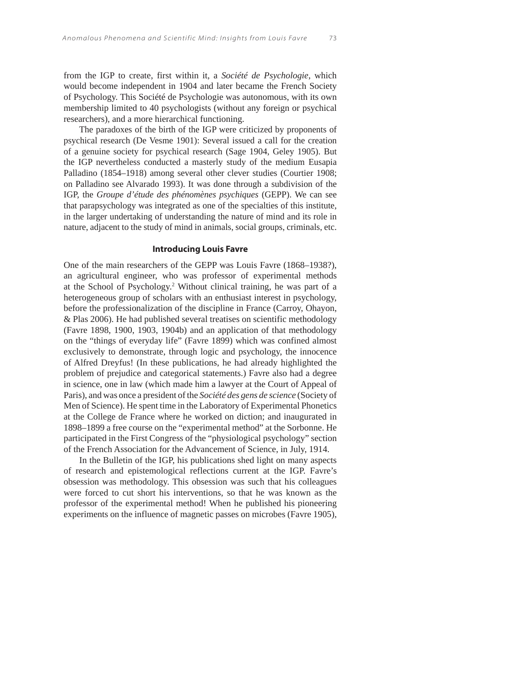from the IGP to create, first within it, a *Société de Psychologie*, which would become independent in 1904 and later became the French Society of Psychology. This Société de Psychologie was autonomous, with its own membership limited to 40 psychologists (without any foreign or psychical researchers), and a more hierarchical functioning.

The paradoxes of the birth of the IGP were criticized by proponents of psychical research (De Vesme 1901): Several issued a call for the creation of a genuine society for psychical research (Sage 1904, Geley 1905). But the IGP nevertheless conducted a masterly study of the medium Eusapia Palladino (1854–1918) among several other clever studies (Courtier 1908; on Palladino see Alvarado 1993). It was done through a subdivision of the IGP, the *Groupe d'étude des phénomènes psychiques* (GEPP). We can see that parapsychology was integrated as one of the specialties of this institute, in the larger undertaking of understanding the nature of mind and its role in nature, adjacent to the study of mind in animals, social groups, criminals, etc.

## **Introducing Louis Favre**

One of the main researchers of the GEPP was Louis Favre (1868–1938?), an agricultural engineer, who was professor of experimental methods at the School of Psychology.2 Without clinical training, he was part of a heterogeneous group of scholars with an enthusiast interest in psychology, before the professionalization of the discipline in France (Carroy, Ohayon, & Plas 2006). He had published several treatises on scientific methodology (Favre 1898, 1900, 1903, 1904b) and an application of that methodology on the "things of everyday life" (Favre 1899) which was confined almost exclusively to demonstrate, through logic and psychology, the innocence of Alfred Dreyfus! (In these publications, he had already highlighted the problem of prejudice and categorical statements.) Favre also had a degree in science, one in law (which made him a lawyer at the Court of Appeal of Paris), and was once a president of the *Société des gens de science* (Society of Men of Science). He spent time in the Laboratory of Experimental Phonetics at the College de France where he worked on diction; and inaugurated in 1898–1899 a free course on the "experimental method" at the Sorbonne. He participated in the First Congress of the "physiological psychology" section of the French Association for the Advancement of Science, in July, 1914.

In the Bulletin of the IGP, his publications shed light on many aspects of research and epistemological reflections current at the IGP. Favre's obsession was methodology. This obsession was such that his colleagues were forced to cut short his interventions, so that he was known as the professor of the experimental method! When he published his pioneering experiments on the influence of magnetic passes on microbes (Favre 1905),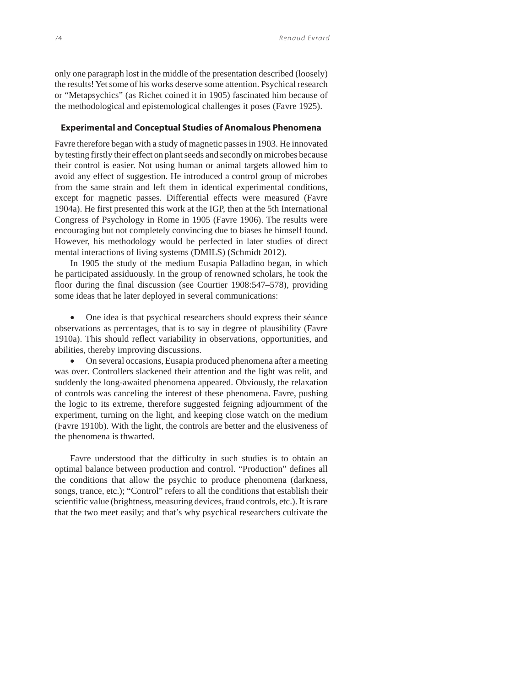only one paragraph lost in the middle of the presentation described (loosely) the results! Yet some of his works deserve some attention. Psychical research or "Metapsychics" (as Richet coined it in 1905) fascinated him because of the methodological and epistemological challenges it poses (Favre 1925).

## **Experimental and Conceptual Studies of Anomalous Phenomena**

Favre therefore began with a study of magnetic passes in 1903. He innovated by testing firstly their effect on plant seeds and secondly on microbes because their control is easier. Not using human or animal targets allowed him to avoid any effect of suggestion. He introduced a control group of microbes from the same strain and left them in identical experimental conditions, except for magnetic passes. Differential effects were measured (Favre 1904a). He first presented this work at the IGP, then at the 5th International Congress of Psychology in Rome in 1905 (Favre 1906). The results were encouraging but not completely convincing due to biases he himself found. However, his methodology would be perfected in later studies of direct mental interactions of living systems (DMILS) (Schmidt 2012).

In 1905 the study of the medium Eusapia Palladino began, in which he participated assiduously. In the group of renowned scholars, he took the floor during the final discussion (see Courtier 1908:547–578), providing some ideas that he later deployed in several communications:

 One idea is that psychical researchers should express their séance observations as percentages, that is to say in degree of plausibility (Favre 1910a). This should reflect variability in observations, opportunities, and abilities, thereby improving discussions.

 On several occasions, Eusapia produced phenomena after a meeting was over. Controllers slackened their attention and the light was relit, and suddenly the long-awaited phenomena appeared. Obviously, the relaxation of controls was canceling the interest of these phenomena. Favre, pushing the logic to its extreme, therefore suggested feigning adjournment of the experiment, turning on the light, and keeping close watch on the medium (Favre 1910b). With the light, the controls are better and the elusiveness of the phenomena is thwarted.

Favre understood that the difficulty in such studies is to obtain an optimal balance between production and control. "Production" defines all the conditions that allow the psychic to produce phenomena (darkness, songs, trance, etc.); "Control" refers to all the conditions that establish their scientific value (brightness, measuring devices, fraud controls, etc.). It is rare that the two meet easily; and that's why psychical researchers cultivate the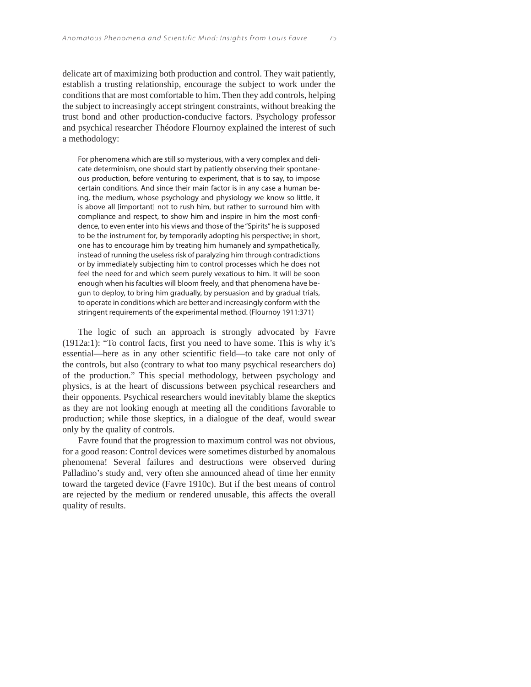delicate art of maximizing both production and control. They wait patiently, establish a trusting relationship, encourage the subject to work under the conditions that are most comfortable to him. Then they add controls, helping the subject to increasingly accept stringent constraints, without breaking the trust bond and other production-conducive factors. Psychology professor and psychical researcher Théodore Flournoy explained the interest of such a methodology:

For phenomena which are still so mysterious, with a very complex and delicate determinism, one should start by patiently observing their spontaneous production, before venturing to experiment, that is to say, to impose certain conditions. And since their main factor is in any case a human being, the medium, whose psychology and physiology we know so little, it is above all [important] not to rush him, but rather to surround him with compliance and respect, to show him and inspire in him the most confidence, to even enter into his views and those of the "Spirits" he is supposed to be the instrument for, by temporarily adopting his perspective; in short, one has to encourage him by treating him humanely and sympathetically, instead of running the useless risk of paralyzing him through contradictions or by immediately subjecting him to control processes which he does not feel the need for and which seem purely vexatious to him. It will be soon enough when his faculties will bloom freely, and that phenomena have begun to deploy, to bring him gradually, by persuasion and by gradual trials, to operate in conditions which are better and increasingly conform with the stringent requirements of the experimental method. (Flournoy 1911:371)

The logic of such an approach is strongly advocated by Favre (1912a:1): "To control facts, first you need to have some. This is why it's essential—here as in any other scientific field—to take care not only of the controls, but also (contrary to what too many psychical researchers do) of the production." This special methodology, between psychology and physics, is at the heart of discussions between psychical researchers and their opponents. Psychical researchers would inevitably blame the skeptics as they are not looking enough at meeting all the conditions favorable to production; while those skeptics, in a dialogue of the deaf, would swear only by the quality of controls.

Favre found that the progression to maximum control was not obvious, for a good reason: Control devices were sometimes disturbed by anomalous phenomena! Several failures and destructions were observed during Palladino's study and, very often she announced ahead of time her enmity toward the targeted device (Favre 1910c). But if the best means of control are rejected by the medium or rendered unusable, this affects the overall quality of results.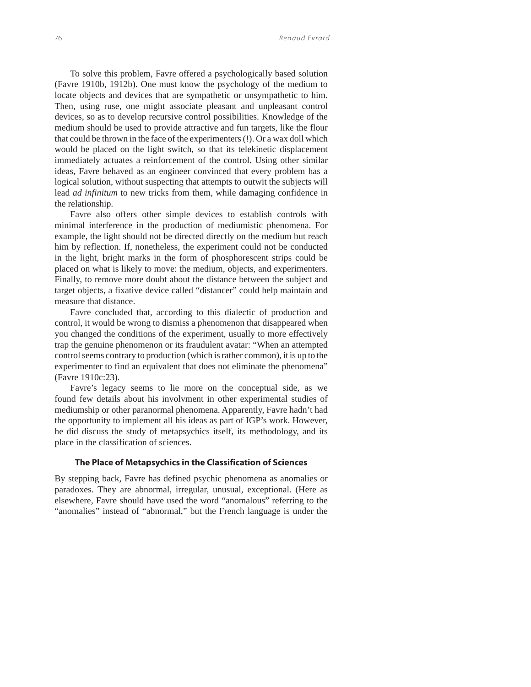To solve this problem, Favre offered a psychologically based solution (Favre 1910b, 1912b). One must know the psychology of the medium to locate objects and devices that are sympathetic or unsympathetic to him. Then, using ruse, one might associate pleasant and unpleasant control devices, so as to develop recursive control possibilities. Knowledge of the medium should be used to provide attractive and fun targets, like the flour that could be thrown in the face of the experimenters (!). Or a wax doll which would be placed on the light switch, so that its telekinetic displacement immediately actuates a reinforcement of the control. Using other similar ideas, Favre behaved as an engineer convinced that every problem has a logical solution, without suspecting that attempts to outwit the subjects will lead *ad infinitum* to new tricks from them, while damaging confidence in the relationship.

Favre also offers other simple devices to establish controls with minimal interference in the production of mediumistic phenomena. For example, the light should not be directed directly on the medium but reach him by reflection. If, nonetheless, the experiment could not be conducted in the light, bright marks in the form of phosphorescent strips could be placed on what is likely to move: the medium, objects, and experimenters. Finally, to remove more doubt about the distance between the subject and target objects, a fixative device called "distancer" could help maintain and measure that distance.

Favre concluded that, according to this dialectic of production and control, it would be wrong to dismiss a phenomenon that disappeared when you changed the conditions of the experiment, usually to more effectively trap the genuine phenomenon or its fraudulent avatar: "When an attempted control seems contrary to production (which is rather common), it is up to the experimenter to find an equivalent that does not eliminate the phenomena" (Favre 1910c:23).

Favre's legacy seems to lie more on the conceptual side, as we found few details about his involvment in other experimental studies of mediumship or other paranormal phenomena. Apparently, Favre hadn't had the opportunity to implement all his ideas as part of IGP's work. However, he did discuss the study of metapsychics itself, its methodology, and its place in the classification of sciences.

## **The Place of Metapsychics in the Classification of Sciences**

By stepping back, Favre has defined psychic phenomena as anomalies or paradoxes. They are abnormal, irregular, unusual, exceptional. (Here as elsewhere, Favre should have used the word "anomalous" referring to the "anomalies" instead of "abnormal," but the French language is under the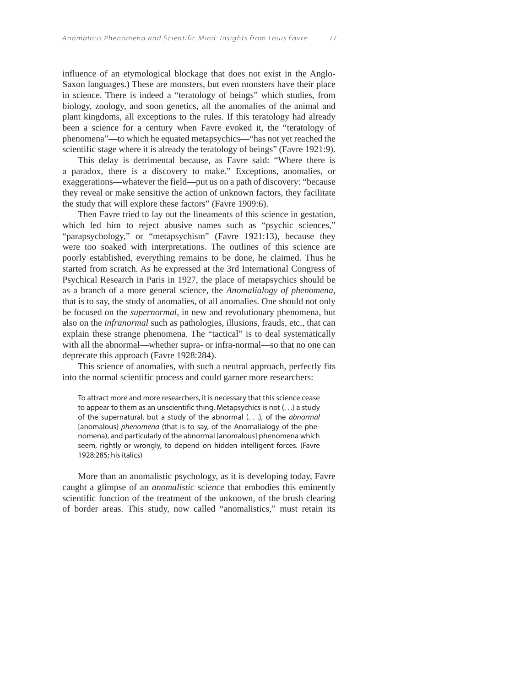influence of an etymological blockage that does not exist in the Anglo-Saxon languages.) These are monsters, but even monsters have their place in science. There is indeed a "teratology of beings" which studies, from biology, zoology, and soon genetics, all the anomalies of the animal and plant kingdoms, all exceptions to the rules. If this teratology had already been a science for a century when Favre evoked it, the "teratology of phenomena"—to which he equated metapsychics—"has not yet reached the scientific stage where it is already the teratology of beings" (Favre 1921:9).

This delay is detrimental because, as Favre said: "Where there is a paradox, there is a discovery to make." Exceptions, anomalies, or exaggerations—whatever the field—put us on a path of discovery: "because they reveal or make sensitive the action of unknown factors, they facilitate the study that will explore these factors" (Favre 1909:6).

Then Favre tried to lay out the lineaments of this science in gestation, which led him to reject abusive names such as "psychic sciences," "parapsychology," or "metapsychism" (Favre 1921:13), because they were too soaked with interpretations. The outlines of this science are poorly established, everything remains to be done, he claimed. Thus he started from scratch. As he expressed at the 3rd International Congress of Psychical Research in Paris in 1927, the place of metapsychics should be as a branch of a more general science, the *Anomalialogy of phenomena*, that is to say, the study of anomalies, of all anomalies. One should not only be focused on the *supernormal*, in new and revolutionary phenomena, but also on the *infranormal* such as pathologies, illusions, frauds, etc., that can explain these strange phenomena. The "tactical" is to deal systematically with all the abnormal—whether supra- or infra-normal—so that no one can deprecate this approach (Favre 1928:284).

This science of anomalies, with such a neutral approach, perfectly fits into the normal scientific process and could garner more researchers:

To attract more and more researchers, it is necessary that this science cease to appear to them as an unscientific thing. Metapsychics is not (. . .) a study of the supernatural, but a study of the abnormal  $($ ..), of the *abnormal* [anomalous] phenomena (that is to say, of the Anomalialogy of the phenomena), and particularly of the abnormal [anomalous] phenomena which seem, rightly or wrongly, to depend on hidden intelligent forces. (Favre 1928:285; his italics)

More than an anomalistic psychology, as it is developing today, Favre caught a glimpse of an *anomalistic science* that embodies this eminently scientific function of the treatment of the unknown, of the brush clearing of border areas. This study, now called "anomalistics," must retain its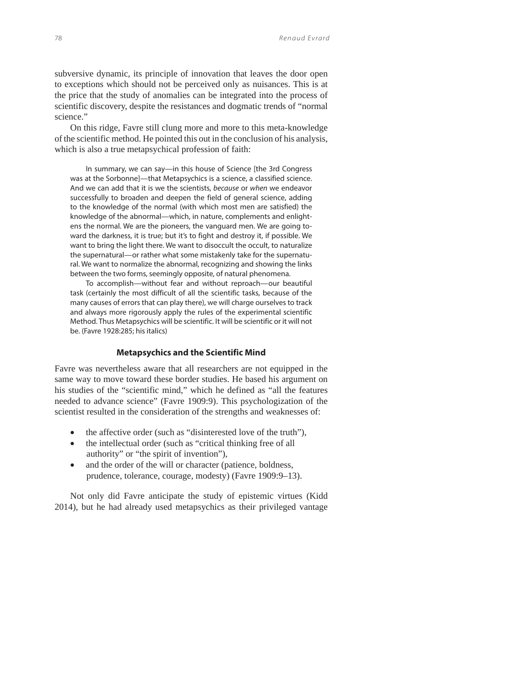subversive dynamic, its principle of innovation that leaves the door open to exceptions which should not be perceived only as nuisances. This is at the price that the study of anomalies can be integrated into the process of scientific discovery, despite the resistances and dogmatic trends of "normal science."

On this ridge, Favre still clung more and more to this meta-knowledge of the scientific method. He pointed this out in the conclusion of his analysis, which is also a true metapsychical profession of faith:

In summary, we can say—in this house of Science [the 3rd Congress was at the Sorbonne]—that Metapsychics is a science, a classified science. And we can add that it is we the scientists, because or when we endeavor successfully to broaden and deepen the field of general science, adding to the knowledge of the normal (with which most men are satisfied) the knowledge of the abnormal—which, in nature, complements and enlightens the normal. We are the pioneers, the vanguard men. We are going toward the darkness, it is true; but it's to fight and destroy it, if possible. We want to bring the light there. We want to disoccult the occult, to naturalize the supernatural—or rather what some mistakenly take for the supernatural. We want to normalize the abnormal, recognizing and showing the links between the two forms, seemingly opposite, of natural phenomena.

To accomplish—without fear and without reproach—our beautiful task (certainly the most difficult of all the scientific tasks, because of the many causes of errors that can play there), we will charge ourselves to track and always more rigorously apply the rules of the experimental scientific Method. Thus Metapsychics will be scientific. It will be scientific or it will not be. (Favre 1928:285; his italics)

#### **Metapsychics and the Scientific Mind**

Favre was nevertheless aware that all researchers are not equipped in the same way to move toward these border studies. He based his argument on his studies of the "scientific mind," which he defined as "all the features needed to advance science" (Favre 1909:9). This psychologization of the scientist resulted in the consideration of the strengths and weaknesses of:

- the affective order (such as "disinterested love of the truth"),
- the intellectual order (such as "critical thinking free of all authority" or "the spirit of invention"),
- and the order of the will or character (patience, boldness, prudence, tolerance, courage, modesty) (Favre 1909:9–13).

Not only did Favre anticipate the study of epistemic virtues (Kidd 2014), but he had already used metapsychics as their privileged vantage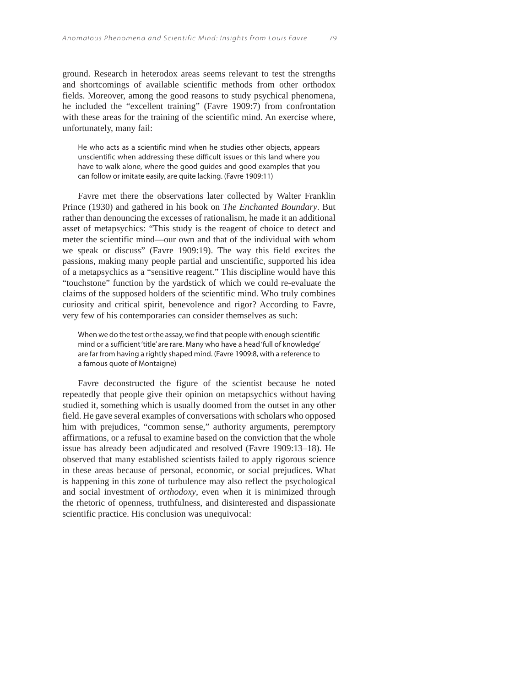ground. Research in heterodox areas seems relevant to test the strengths and shortcomings of available scientific methods from other orthodox fields. Moreover, among the good reasons to study psychical phenomena, he included the "excellent training" (Favre 1909:7) from confrontation with these areas for the training of the scientific mind. An exercise where, unfortunately, many fail:

He who acts as a scientific mind when he studies other objects, appears unscientific when addressing these difficult issues or this land where you have to walk alone, where the good guides and good examples that you can follow or imitate easily, are quite lacking. (Favre 1909:11)

Favre met there the observations later collected by Walter Franklin Prince (1930) and gathered in his book on *The Enchanted Boundary*. But rather than denouncing the excesses of rationalism, he made it an additional asset of metapsychics: "This study is the reagent of choice to detect and meter the scientific mind—our own and that of the individual with whom we speak or discuss" (Favre 1909:19). The way this field excites the passions, making many people partial and unscientific, supported his idea of a metapsychics as a "sensitive reagent." This discipline would have this "touchstone" function by the yardstick of which we could re-evaluate the claims of the supposed holders of the scientific mind. Who truly combines curiosity and critical spirit, benevolence and rigor? According to Favre, very few of his contemporaries can consider themselves as such:

When we do the test or the assay, we find that people with enough scientific mind or a sufficient 'title' are rare. Many who have a head 'full of knowledge' are far from having a rightly shaped mind. (Favre 1909:8, with a reference to a famous quote of Montaigne)

Favre deconstructed the figure of the scientist because he noted repeatedly that people give their opinion on metapsychics without having studied it, something which is usually doomed from the outset in any other field. He gave several examples of conversations with scholars who opposed him with prejudices, "common sense," authority arguments, peremptory affirmations, or a refusal to examine based on the conviction that the whole issue has already been adjudicated and resolved (Favre 1909:13–18). He observed that many established scientists failed to apply rigorous science in these areas because of personal, economic, or social prejudices. What is happening in this zone of turbulence may also reflect the psychological and social investment of *orthodoxy*, even when it is minimized through the rhetoric of openness, truthfulness, and disinterested and dispassionate scientific practice. His conclusion was unequivocal: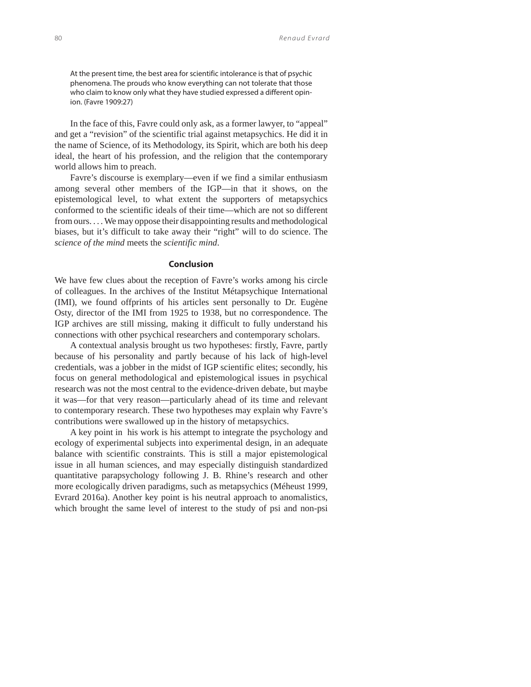At the present time, the best area for scientific intolerance is that of psychic phenomena. The prouds who know everything can not tolerate that those who claim to know only what they have studied expressed a different opinion. (Favre 1909:27)

In the face of this, Favre could only ask, as a former lawyer, to "appeal" and get a "revision" of the scientific trial against metapsychics. He did it in the name of Science, of its Methodology, its Spirit, which are both his deep ideal, the heart of his profession, and the religion that the contemporary world allows him to preach.

Favre's discourse is exemplary—even if we find a similar enthusiasm among several other members of the IGP—in that it shows, on the epistemological level, to what extent the supporters of metapsychics conformed to the scientific ideals of their time—which are not so different from ours. . . . We may oppose their disappointing results and methodological biases, but it's difficult to take away their "right" will to do science. The *science of the mind* meets the *scientific mind*.

#### **Conclusion**

We have few clues about the reception of Favre's works among his circle of colleagues. In the archives of the Institut Métapsychique International (IMI), we found offprints of his articles sent personally to Dr. Eugène Osty, director of the IMI from 1925 to 1938, but no correspondence. The IGP archives are still missing, making it difficult to fully understand his connections with other psychical researchers and contemporary scholars.

A contextual analysis brought us two hypotheses: firstly, Favre, partly because of his personality and partly because of his lack of high-level credentials, was a jobber in the midst of IGP scientific elites; secondly, his focus on general methodological and epistemological issues in psychical research was not the most central to the evidence-driven debate, but maybe it was—for that very reason—particularly ahead of its time and relevant to contemporary research. These two hypotheses may explain why Favre's contributions were swallowed up in the history of metapsychics.

A key point in his work is his attempt to integrate the psychology and ecology of experimental subjects into experimental design, in an adequate balance with scientific constraints. This is still a major epistemological issue in all human sciences, and may especially distinguish standardized quantitative parapsychology following J. B. Rhine's research and other more ecologically driven paradigms, such as metapsychics (Méheust 1999, Evrard 2016a). Another key point is his neutral approach to anomalistics, which brought the same level of interest to the study of psi and non-psi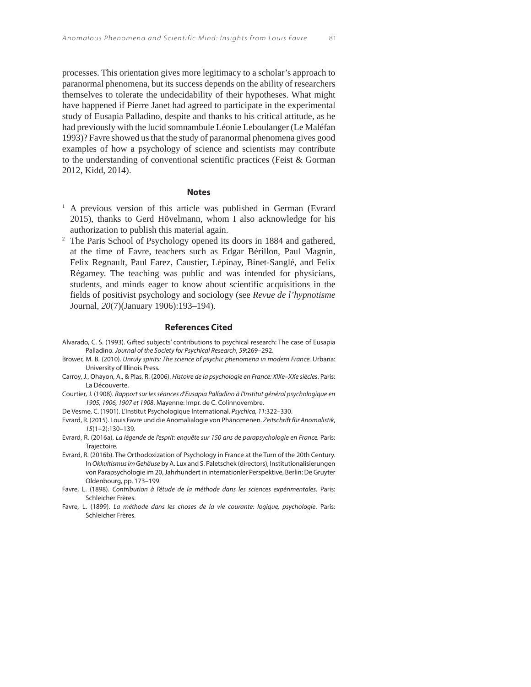processes. This orientation gives more legitimacy to a scholar's approach to paranormal phenomena, but its success depends on the ability of researchers themselves to tolerate the undecidability of their hypotheses. What might have happened if Pierre Janet had agreed to participate in the experimental study of Eusapia Palladino, despite and thanks to his critical attitude, as he had previously with the lucid somnambule Léonie Leboulanger (Le Maléfan 1993)? Favre showed us that the study of paranormal phenomena gives good examples of how a psychology of science and scientists may contribute to the understanding of conventional scientific practices (Feist & Gorman 2012, Kidd, 2014).

#### **Notes**

- <sup>1</sup> A previous version of this article was published in German (Evrard 2015), thanks to Gerd Hövelmann, whom I also acknowledge for his authorization to publish this material again.
- <sup>2</sup> The Paris School of Psychology opened its doors in 1884 and gathered, at the time of Favre, teachers such as Edgar Bérillon, Paul Magnin, Felix Regnault, Paul Farez, Caustier, Lépinay, Binet-Sanglé, and Felix Régamey. The teaching was public and was intended for physicians, students, and minds eager to know about scientific acquisitions in the fields of positivist psychology and sociology (see *Revue de l'hypnotisme* Journal, *20*(7)(January 1906):193–194).

#### **References Cited**

- Alvarado, C. S. (1993). Gifted subjects' contributions to psychical research: The case of Eusapia Palladino. Journal of the Society for Psychical Research, 59:269–292.
- Brower, M. B. (2010). Unruly spirits: The science of psychic phenomena in modern France. Urbana: University of Illinois Press.
- Carroy, J., Ohayon, A., & Plas, R. (2006). Histoire de la psychologie en France: XIXe–XXe siècles. Paris: La Découverte.
- Courtier, J. (1908). Rapport sur les séances d'Eusapia Palladino à l'Institut général psychologique en 1905, 1906, 1907 et 1908. Mayenne: Impr. de C. Colinnovembre.
- De Vesme, C. (1901). L'Institut Psychologique International. Psychica, 11:322-330.
- Evrard, R. (2015). Louis Favre und die Anomalialogie von Phänomenen. Zeitschrift für Anomalistik, 15(1+2):130–139.
- Evrard, R. (2016a). La légende de l'esprit: enquête sur 150 ans de parapsychologie en France. Paris: Trajectoire.
- Evrard, R. (2016b). The Orthodoxization of Psychology in France at the Turn of the 20th Century. In Okkultismus im Gehäuse by A. Lux and S. Paletschek (directors), Institutionalisierungen von Parapsychologie im 20, Jahrhundert in internationler Perspektive, Berlin: De Gruyter Oldenbourg, pp. 173–199.
- Favre, L. (1898). Contribution à l'étude de la méthode dans les sciences expérimentales. Paris: Schleicher Frères.
- Favre, L. (1899). La méthode dans les choses de la vie courante: logique, psychologie. Paris: Schleicher Frères.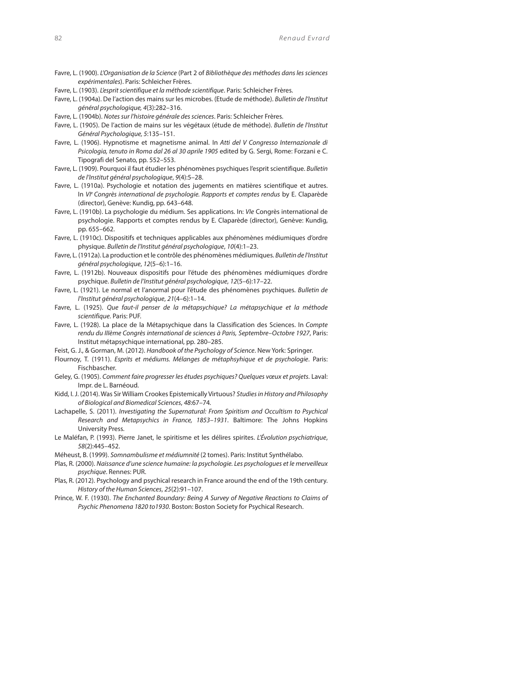- Favre, L. (1900). L'Organisation de la Science (Part 2 of Bibliothèque des méthodes dans les sciences expérimentales). Paris: Schleicher Frères.
- Favre, L. (1903). L'esprit scientifique et la méthode scientifique. Paris: Schleicher Frères.
- Favre, L. (1904a). De l'action des mains sur les microbes. (Etude de méthode). Bulletin de l'Institut général psychologique, 4(3):282–316.
- Favre, L. (1904b). Notes sur l'histoire générale des sciences. Paris: Schleicher Frères.
- Favre, L. (1905). De l'action de mains sur les végétaux (étude de méthode). Bulletin de l'Institut Général Psychologique, 5:135–151.
- Favre, L. (1906). Hypnotisme et magnetisme animal. In Atti del V Congresso Internazionale di Psicologia, tenuto in Roma dal 26 al 30 aprile 1905 edited by G. Sergi, Rome: Forzani e C. Tipografi del Senato, pp. 552–553.
- Favre, L. (1909). Pourquoi il faut étudier les phénomènes psychiques l'esprit scientifique. Bulletin de l'Institut général psychologique, 9(4):5–28.
- Favre, L. (1910a). Psychologie et notation des jugements en matières scientifique et autres. In VIe Congrès international de psychologie. Rapports et comptes rendus by E. Claparède (director), Genève: Kundig, pp. 643–648.
- Favre, L. (1910b). La psychologie du médium. Ses applications. In: Vle Congrès international de psychologie. Rapports et comptes rendus by E. Claparède (director), Genève: Kundig, pp. 655–662.
- Favre, L. (1910c). Dispositifs et techniques applicables aux phénomènes médiumiques d'ordre physique. Bulletin de l'Institut général psychologique, 10(4):1–23.
- Favre, L. (1912a). La production et le contrôle des phénomènes médiumiques. Bulletin de l'Institut général psychologique, 12(5–6):1–16.
- Favre, L. (1912b). Nouveaux dispositifs pour l'étude des phénomènes médiumiques d'ordre psychique. Bulletin de l'Institut général psychologique, 12(5–6):17–22.
- Favre, L. (1921). Le normal et l'anormal pour l'étude des phénomènes psychiques. Bulletin de l'Institut général psychologique, 21(4–6):1–14.
- Favre, L. (1925). Que faut-il penser de la métapsychique? La métapsychique et la méthode scientifique. Paris: PUF.
- Favre, L. (1928). La place de la Métapsychique dans la Classification des Sciences. In Compte rendu du IIIème Congrès international de sciences à Paris, Septembre–Octobre 1927, Paris: Institut métapsychique international, pp. 280–285.
- Feist, G. J., & Gorman, M. (2012). Handbook of the Psychology of Science. New York: Springer.
- Flournoy, T. (1911). Esprits et médiums. Mélanges de métaphsyhique et de psychologie. Paris: Fischbascher.
- Geley , G. (1905). Comment faire progresser les études psychiques? Quelques vœux et projets. Laval: Impr. de L. Barnéoud.
- Kidd , I. J. (2014). Was Sir William Crookes Epistemically Virtuous? Studies in History and Philosophy of Biological and Biomedical Sciences, 48:67–74.
- Lachapelle, S. (2011). Investigating the Supernatural: From Spiritism and Occultism to Psychical Research and Metapsychics in France, 1853–1931. Baltimore: The Johns Hopkins University Press.
- Le Maléfan, P. (1993). Pierre Janet, le spiritisme et les délires spirites. L'Évolution psychiatrique, 58(2):445–452.
- Méheust, B. (1999). Somnambulisme et médiumnité (2 tomes). Paris: Institut Synthélabo.
- Plas, R. (2000). Naissance d'une science humaine: la psychologie. Les psychologues et le merveilleux psychique. Rennes: PUR.
- Plas, R. (2012). Psychology and psychical research in France around the end of the 19th century. History of the Human Sciences, 25(2):91–107.
- Prince, W. F. (1930). The Enchanted Boundary: Being A Survey of Negative Reactions to Claims of Psychic Phenomena 1820 to1930. Boston: Boston Society for Psychical Research.